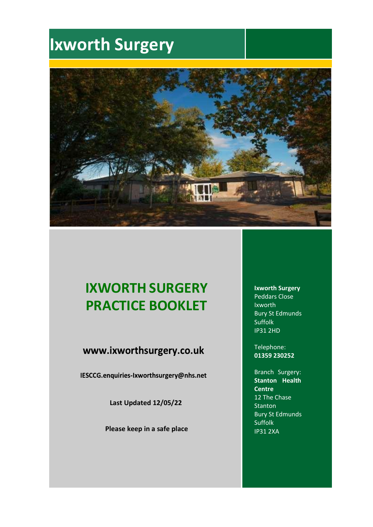

## **IXWORTH SURGERY PRACTICE BOOKLET**

### www.ixworthsurgery.co.uk

IESCCG.enquiries-Ixworthsurgery@nhs.net

**Last Updated 12/05/22**

**Please keep in a safe place**

**Ixworth Surgery**  Peddars Close Ixworth Bury St Edmunds Suffolk IP31 2HD

Telephone: **01359 230252**

Branch Surgery: **Stanton Health Centre** 12 The Chase **Stanton** Bury St Edmunds Suffolk IP31 2XA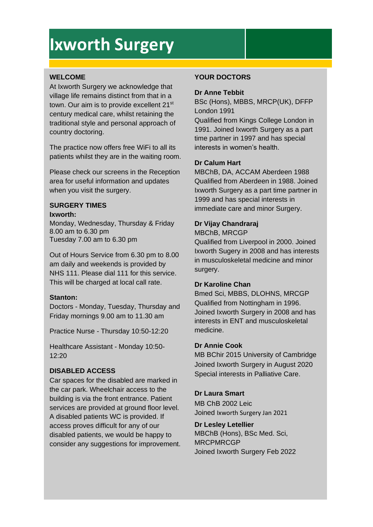### **WELCOME**

At Ixworth Surgery we acknowledge that village life remains distinct from that in a town. Our aim is to provide excellent 21<sup>st</sup> century medical care, whilst retaining the traditional style and personal approach of country doctoring.

The practice now offers free WiFi to all its patients whilst they are in the waiting room.

Please check our screens in the Reception area for useful information and updates when you visit the surgery.

#### **SURGERY TIMES Ixworth:**

Monday, Wednesday, Thursday & Friday 8.00 am to 6.30 pm Tuesday 7.00 am to 6.30 pm

Out of Hours Service from 6.30 pm to 8.00 am daily and weekends is provided by NHS 111. Please dial 111 for this service. This will be charged at local call rate.

### **Stanton:**

Doctors - Monday, Tuesday, Thursday and Friday mornings 9.00 am to 11.30 am

Practice Nurse - Thursday 10:50-12:20

Healthcare Assistant - Monday 10:50-  $12:20$ 

### **DISABLED ACCESS**

Car spaces for the disabled are marked in the car park. Wheelchair access to the building is via the front entrance. Patient services are provided at ground floor level. A disabled patients WC is provided. If access proves difficult for any of our disabled patients, we would be happy to consider any suggestions for improvement.

### **YOUR DOCTORS**

### **Dr Anne Tebbit**

BSc (Hons), MBBS, MRCP(UK), DFFP London 1991 Qualified from Kings College London in 1991. Joined Ixworth Surgery as a part time partner in 1997 and has special interests in women's health.

### **Dr Calum Hart**

MBChB, DA, ACCAM Aberdeen 1988 Qualified from Aberdeen in 1988. Joined Ixworth Surgery as a part time partner in 1999 and has special interests in immediate care and minor Surgery.

### **Dr Vijay Chandraraj**

MBChB, MRCGP

Qualified from Liverpool in 2000. Joined Ixworth Sugery in 2008 and has interests in musculoskeletal medicine and minor surgery.

### **Dr Karoline Chan**

Bmed Sci, MBBS, DLOHNS, MRCGP Qualified from Nottingham in 1996. Joined Ixworth Surgery in 2008 and has interests in ENT and musculoskeletal medicine.

### **Dr Annie Cook**

MB BChir 2015 University of Cambridge Joined Ixworth Surgery in August 2020 Special interests in Palliative Care.

### **Dr Laura Smart**

MB ChB 2002 Leic Joined Ixworth Surgery Jan 2021

**Dr Lesley Letellier** MBChB (Hons), BSc Med. Sci, MRCPMRCGP Joined Ixworth Surgery Feb 2022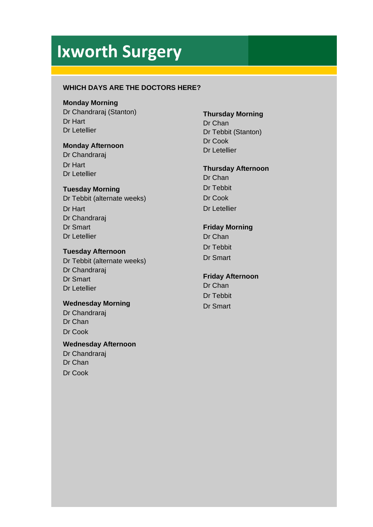### **WHICH DAYS ARE THE DOCTORS HERE?**

### **Monday Morning**

Dr Chandraraj (Stanton) Dr Hart Dr Letellier

### **Monday Afternoon**

Dr Chandraraj Dr Hart Dr Letellier

### **Tuesday Morning**

Dr Tebbit (alternate weeks) Dr Hart Dr Chandraraj Dr Smart Dr Letellier

### **Tuesday Afternoon**

Dr Tebbit (alternate weeks) Dr Chandraraj Dr Smart Dr Letellier

### **Wednesday Morning**

Dr Chandraraj Dr Chan Dr Cook

### **Wednesday Afternoon**

Dr Chandraraj Dr Chan Dr Cook

### **Thursday Morning**

Dr Chan Dr Tebbit (Stanton) Dr Cook Dr Letellier

### **Thursday Afternoon**

Dr Chan Dr Tebbit Dr Cook Dr Letellier

### **Friday Morning**

Dr Chan Dr Tebbit Dr Smart

### **Friday Afternoon**

Dr Chan Dr Tebbit Dr Smart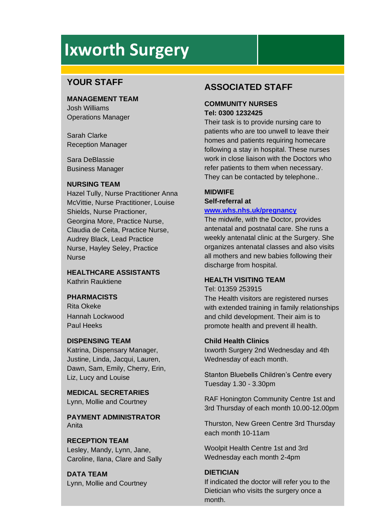### **YOUR STAFF**

**MANAGEMENT TEAM**

Josh Williams Operations Manager

Sarah Clarke Reception Manager

Sara DeBlassie Business Manager

### **NURSING TEAM**

Hazel Tully, Nurse Practitioner Anna McVittie, Nurse Practitioner, Louise Shields, Nurse Practioner, Georgina More, Practice Nurse, Claudia de Ceita, Practice Nurse, Audrey Black, Lead Practice Nurse, Hayley Seley, Practice Nurse

**HEALTHCARE ASSISTANTS** Kathrin Rauktiene

### **PHARMACISTS**

Rita Okeke Hannah Lockwood Paul Heeks

### **DISPENSING TEAM**

Katrina, Dispensary Manager, Justine, Linda, Jacqui, Lauren, Dawn, Sam, Emily, Cherry, Erin, Liz, Lucy and Louise

**MEDICAL SECRETARIES** Lynn, Mollie and Courtney

**PAYMENT ADMINISTRATOR** Anita

### **RECEPTION TEAM**

Lesley, Mandy, Lynn, Jane, Caroline, Ilana, Clare and Sally

**DATA TEAM** Lynn, Mollie and Courtney

### **ASSOCIATED STAFF**

### **COMMUNITY NURSES Tel: 0300 1232425**

Their task is to provide nursing care to patients who are too unwell to leave their homes and patients requiring homecare following a stay in hospital. These nurses work in close liaison with the Doctors who refer patients to them when necessary. They can be contacted by telephone..

### **MIDWIFE**

### **Self-referral at [www.whs.nhs.uk/pregnancy](http://www.whs.nhs.uk/pregnancy)**

The midwife, with the Doctor, provides antenatal and postnatal care. She runs a weekly antenatal clinic at the Surgery. She organizes antenatal classes and also visits all mothers and new babies following their discharge from hospital.

### **HEALTH VISITING TEAM**

Tel: 01359 253915 The Health visitors are registered nurses with extended training in family relationships and child development. Their aim is to promote health and prevent ill health.

### **Child Health Clinics**

Ixworth Surgery 2nd Wednesday and 4th Wednesday of each month.

Stanton Bluebells Children's Centre every Tuesday 1.30 - 3.30pm

RAF Honington Community Centre 1st and 3rd Thursday of each month 10.00-12.00pm

Thurston, New Green Centre 3rd Thursday each month 10-11am

Woolpit Health Centre 1st and 3rd Wednesday each month 2-4pm

### **DIETICIAN**

If indicated the doctor will refer you to the Dietician who visits the surgery once a month.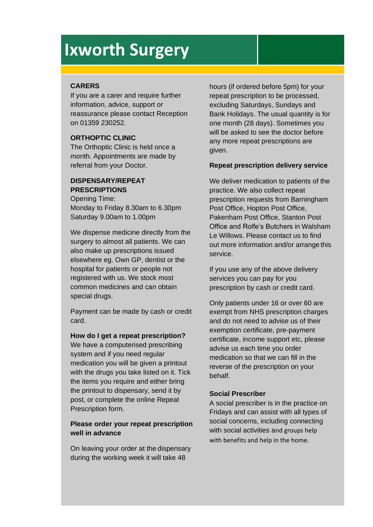### **CARERS**

If you are a carer and require further information, advice, support or reassurance please contact Reception on 01359 230252.

### **ORTHOPTIC CLINIC**

The Orthoptic Clinic is held once a month. Appointments are made by referral from your Doctor.

### **DISPENSARY/REPEAT PRESCRIPTIONS**

Opening Time: Monday to Friday 8.30am to 6.30pm Saturday 9.00am to 1.00pm

We dispense medicine directly from the surgery to almost all patients. We can also make up prescriptions issued elsewhere eg. Own GP, dentist or the hospital for patients or people not registered with us. We stock most common medicines and can obtain special drugs.

Payment can be made by cash or credit card.

**How do I get a repeat prescription?** 

We have a computerised prescribing system and if you need regular medication you will be given a printout with the drugs you take listed on it. Tick the items you require and either bring the printout to dispensary, send it by post, or complete the online Repeat Prescription form.

### **Please order your repeat prescription well in advance**

On leaving your order at the dispensary during the working week it will take 48

hours (if ordered before 5pm) for your repeat prescription to be processed, excluding Saturdays, Sundays and Bank Holidays. The usual quantity is for one month (28 days). Sometimes you will be asked to see the doctor before any more repeat prescriptions are given.

### **Repeat prescription delivery service**

We deliver medication to patients of the practice. We also collect repeat prescription requests from Barningham Post Office, Hopton Post Office, Pakenham Post Office, Stanton Post Office and Rolfe's Butchers in Walsham Le Willows. Please contact us to find out more information and/or arrange this service.

If you use any of the above delivery services you can pay for you prescription by cash or credit card.

Only patients under 16 or over 60 are exempt from NHS prescription charges and do not need to advise us of their exemption certificate, pre-payment certificate, income support etc, please advise us each time you order medication so that we can fill in the reverse of the prescription on your behalf.

### **Social Prescriber**

A social prescriber is in the practice on Fridays and can assist with all types of social concerns, including connecting with social activities and groups help with benefits and help in the home.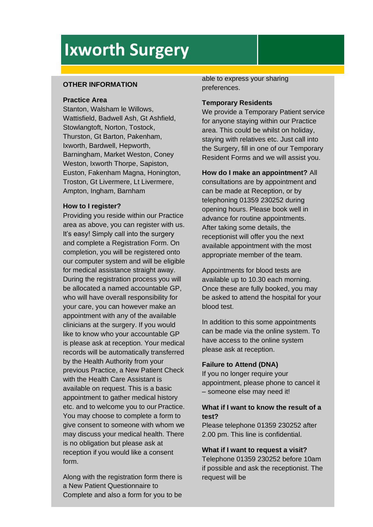### **OTHER INFORMATION**

#### **Practice Area**

Stanton, Walsham le Willows, Wattisfield, Badwell Ash, Gt Ashfield, Stowlangtoft, Norton, Tostock, Thurston, Gt Barton, Pakenham, Ixworth, Bardwell, Hepworth, Barningham, Market Weston, Coney Weston, Ixworth Thorpe, Sapiston, Euston, Fakenham Magna, Honington, Troston, Gt Livermere, Lt Livermere, Ampton, Ingham, Barnham

### **How to I register?**

Providing you reside within our Practice area as above, you can register with us. It's easy! Simply call into the surgery and complete a Registration Form. On completion, you will be registered onto our computer system and will be eligible for medical assistance straight away. During the registration process you will be allocated a named accountable GP, who will have overall responsibility for your care, you can however make an appointment with any of the available clinicians at the surgery. If you would like to know who your accountable GP is please ask at reception. Your medical records will be automatically transferred by the Health Authority from your previous Practice, a New Patient Check with the Health Care Assistant is available on request. This is a basic appointment to gather medical history etc. and to welcome you to our Practice. You may choose to complete a form to give consent to someone with whom we may discuss your medical health. There is no obligation but please ask at reception if you would like a consent form.

Along with the registration form there is a New Patient Questionnaire to Complete and also a form for you to be

able to express your sharing preferences.

### **Temporary Residents**

We provide a Temporary Patient service for anyone staying within our Practice area. This could be whilst on holiday, staying with relatives etc. Just call into the Surgery, fill in one of our Temporary Resident Forms and we will assist you.

**How do I make an appointment?** All

consultations are by appointment and can be made at Reception, or by telephoning 01359 230252 during opening hours. Please book well in advance for routine appointments. After taking some details, the receptionist will offer you the next available appointment with the most appropriate member of the team.

Appointments for blood tests are available up to 10.30 each morning. Once these are fully booked, you may be asked to attend the hospital for your blood test.

In addition to this some appointments can be made via the online system. To have access to the online system please ask at reception.

### **Failure to Attend (DNA)**

If you no longer require your appointment, please phone to cancel it – someone else may need it!

### **What if I want to know the result of a test?**

Please telephone 01359 230252 after 2.00 pm. This line is confidential.

**What if I want to request a visit?**  Telephone 01359 230252 before 10am if possible and ask the receptionist. The request will be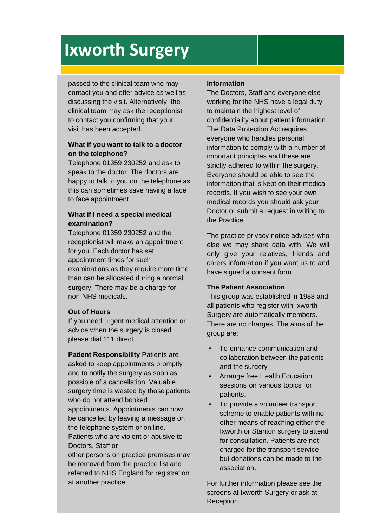passed to the clinical team who may contact you and offer advice as well as discussing the visit. Alternatively, the clinical team may ask the receptionist to contact you confirming that your visit has been accepted.

### **What if you want to talk to a doctor on the telephone?**

Telephone 01359 230252 and ask to speak to the doctor. The doctors are happy to talk to you on the telephone as this can sometimes save having a face to face appointment.

### **What if I need a special medical examination?**

Telephone 01359 230252 and the receptionist will make an appointment for you. Each doctor has set appointment times for such examinations as they require more time than can be allocated during a normal surgery. There may be a charge for non-NHS medicals.

### **Out of Hours**

If you need urgent medical attention or advice when the surgery is closed please dial 111 direct.

**Patient Responsibility** Patients are asked to keep appointments promptly and to notify the surgery as soon as possible of a cancellation. Valuable surgery time is wasted by those patients who do not attend booked appointments. Appointments can now be cancelled by leaving a message on the telephone system or on line. Patients who are violent or abusive to Doctors, Staff or

other persons on practice premises may be removed from the practice list and referred to NHS England for registration at another practice.

### **Information**

The Doctors, Staff and everyone else working for the NHS have a legal duty to maintain the highest level of confidentiality about patient information. The Data Protection Act requires everyone who handles personal information to comply with a number of important principles and these are strictly adhered to within the surgery. Everyone should be able to see the information that is kept on their medical records. If you wish to see your own medical records you should ask your Doctor or submit a request in writing to the Practice.

The practice privacy notice advises who else we may share data with. We will only give your relatives, friends and carers information if you want us to and have signed a consent form.

### **The Patient Association**

This group was established in 1988 and all patients who register with Ixworth Surgery are automatically members. There are no charges. The aims of the group are:

- To enhance communication and collaboration between the patients and the surgery
- Arrange free Health Education sessions on various topics for patients.
- To provide a volunteer transport scheme to enable patients with no other means of reaching either the Ixworth or Stanton surgery to attend for consultation. Patients are not charged for the transport service but donations can be made to the association.

For further information please see the screens at Ixworth Surgery or ask at Reception.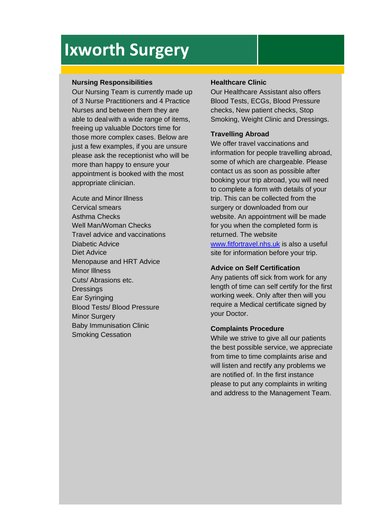### **Nursing Responsibilities**

Our Nursing Team is currently made up of 3 Nurse Practitioners and 4 Practice Nurses and between them they are able to deal with a wide range of items, freeing up valuable Doctors time for those more complex cases. Below are just a few examples, if you are unsure please ask the receptionist who will be more than happy to ensure your appointment is booked with the most appropriate clinician.

Acute and Minor Illness Cervical smears Asthma Checks Well Man/Woman Checks Travel advice and vaccinations Diabetic Advice Diet Advice Menopause and HRT Advice Minor Illness Cuts/ Abrasions etc. **Dressings** Ear Syringing Blood Tests/ Blood Pressure **Minor Surgery** Baby Immunisation Clinic Smoking Cessation

### **Healthcare Clinic**

Our Healthcare Assistant also offers Blood Tests, ECGs, Blood Pressure checks, New patient checks, Stop Smoking, Weight Clinic and Dressings.

### **Travelling Abroad**

We offer travel vaccinations and information for people travelling abroad, some of which are chargeable. Please contact us as soon as possible after booking your trip abroad, you will need to complete a form with details of your trip. This can be collected from the surgery or downloaded from our website. An appointment will be made for you when the completed form is returned. The website [www.fitfortravel.nhs.uk](http://www.fitfortravel.nhs.uk/) is also a useful site for information before your trip.

### **Advice on Self Certification**

Any patients off sick from work for any length of time can self certify for the first working week. Only after then will you require a Medical certificate signed by your Doctor.

### **Complaints Procedure**

While we strive to give all our patients the best possible service, we appreciate from time to time complaints arise and will listen and rectify any problems we are notified of. In the first instance please to put any complaints in writing and address to the Management Team.